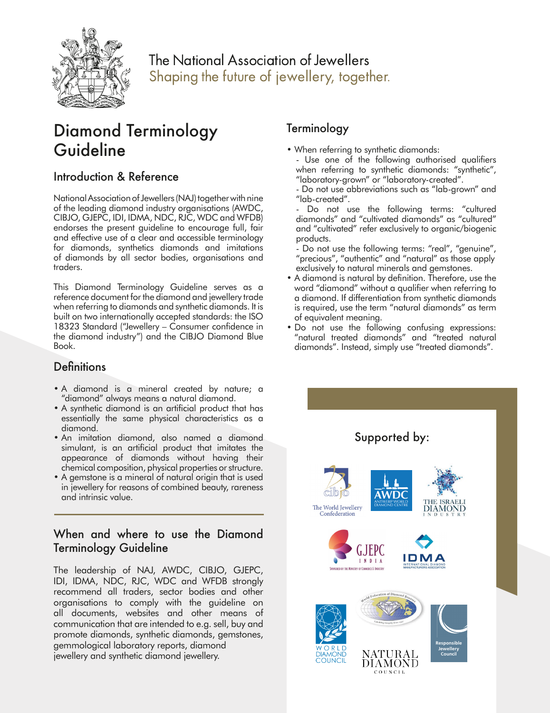

## The National Association of Jewellers Shaping the future of jewellery, together.

# Diamond Terminology Guideline

### Introduction & Reference

National Association of Jewellers (NAJ) together with nine of the leading diamond industry organisations (AWDC, CIBJO, GJEPC, IDI, IDMA, NDC, RJC, WDC and WFDB) endorses the present guideline to encourage full, fair and effective use of a clear and accessible terminology for diamonds, synthetics diamonds and imitations of diamonds by all sector bodies, organisations and traders.

This Diamond Terminology Guideline serves as a reference document for the diamond and jewellery trade when referring to diamonds and synthetic diamonds. It is built on two internationally accepted standards: the ISO 18323 Standard ("Jewellery – Consumer confidence in the diamond industry") and the CIBJO Diamond Blue Book.

### **Definitions**

- A diamond is a mineral created by nature; a "diamond" always means a natural diamond.
- A synthetic diamond is an artificial product that has essentially the same physical characteristics as a diamond.
- An imitation diamond, also named a diamond simulant, is an artificial product that imitates the appearance of diamonds without having their chemical composition, physical properties or structure.
- A gemstone is a mineral of natural origin that is used in jewellery for reasons of combined beauty, rareness and intrinsic value.

### When and where to use the Diamond Terminology Guideline

The leadership of NAJ, AWDC, CIBJO, GJEPC, IDI, IDMA, NDC, RJC, WDC and WFDB strongly recommend all traders, sector bodies and other organisations to comply with the guideline on all documents, websites and other means of communication that are intended to e.g. sell, buy and promote diamonds, synthetic diamonds, gemstones, gemmological laboratory reports, diamond jewellery and synthetic diamond jewellery.

## **Terminology**

- When referring to synthetic diamonds:
	- Use one of the following authorised qualifiers when referring to synthetic diamonds: "synthetic", "laboratory-grown" or "laboratory-created".
	- Do not use abbreviations such as "lab-grown" and "lab-created".

Do not use the following terms: "cultured diamonds" and "cultivated diamonds" as "cultured" and "cultivated" refer exclusively to organic/biogenic products.

- .<br>- Do not use the following terms: "real", "genuine", "precious", "authentic" and "natural" as those apply exclusively to natural minerals and gemstones.
- A diamond is natural by definition. Therefore, use the word "diamond" without a qualifier when referring to a diamond. If differentiation from synthetic diamonds is required, use the term "natural diamonds" as term of equivalent meaning.
- Do not use the following confusing expressions: "natural treated diamonds" and "treated natural diamonds". Instead, simply use "treated diamonds".